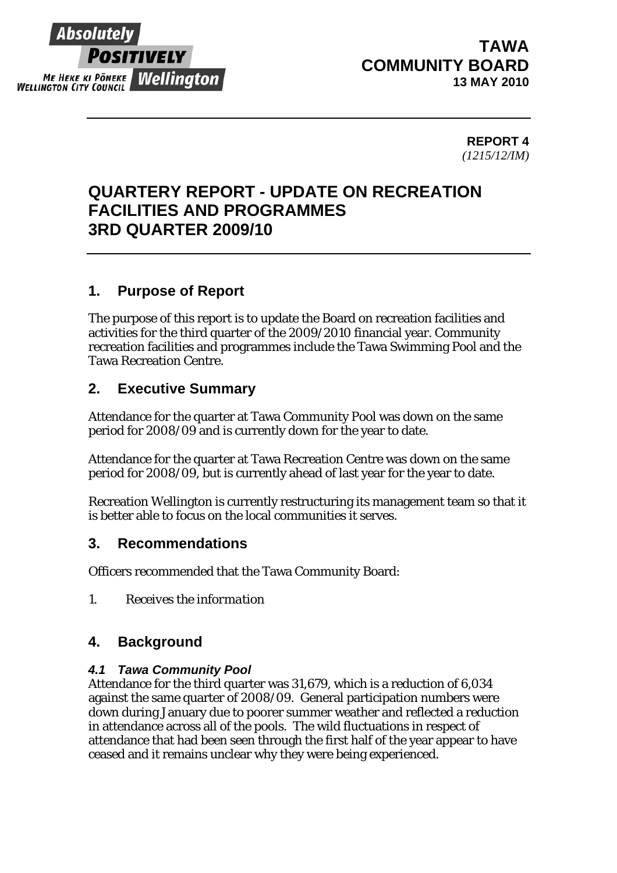

# **TAWA COMMUNITY BOARD 13 MAY 2010**

#### **REPORT 4**  *(1215/12/IM)*

# **QUARTERY REPORT - UPDATE ON RECREATION FACILITIES AND PROGRAMMES 3RD QUARTER 2009/10**

# **1. Purpose of Report**

The purpose of this report is to update the Board on recreation facilities and activities for the third quarter of the 2009/2010 financial year. Community recreation facilities and programmes include the Tawa Swimming Pool and the Tawa Recreation Centre.

# **2. Executive Summary**

Attendance for the quarter at Tawa Community Pool was down on the same period for 2008/09 and is currently down for the year to date.

Attendance for the quarter at Tawa Recreation Centre was down on the same period for 2008/09, but is currently ahead of last year for the year to date.

Recreation Wellington is currently restructuring its management team so that it is better able to focus on the local communities it serves.

### **3. Recommendations**

Officers recommended that the Tawa Community Board:

*1. Receives the information* 

# **4. Background**

#### *4.1 Tawa Community Pool*

Attendance for the third quarter was 31,679, which is a reduction of 6,034 against the same quarter of 2008/09. General participation numbers were down during January due to poorer summer weather and reflected a reduction in attendance across all of the pools. The wild fluctuations in respect of attendance that had been seen through the first half of the year appear to have ceased and it remains unclear why they were being experienced.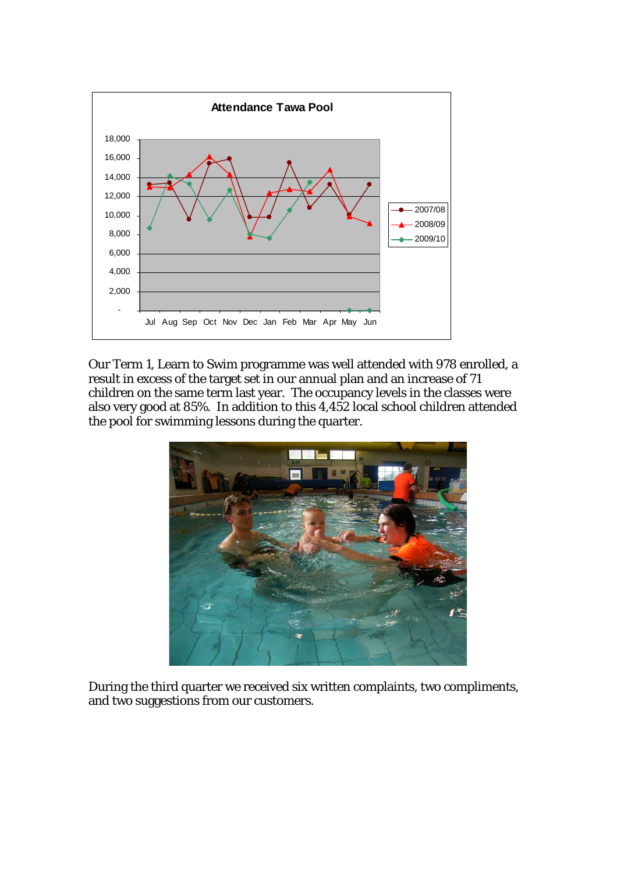

Our Term 1, Learn to Swim programme was well attended with 978 enrolled, a result in excess of the target set in our annual plan and an increase of 71 children on the same term last year. The occupancy levels in the classes were also very good at 85%. In addition to this 4,452 local school children attended the pool for swimming lessons during the quarter.



During the third quarter we received six written complaints, two compliments, and two suggestions from our customers.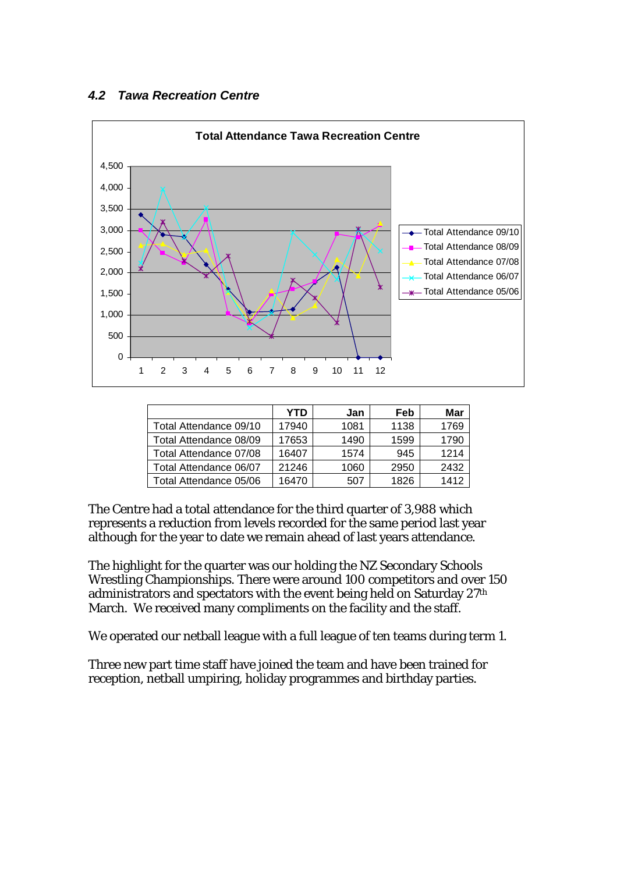#### *4.2 Tawa Recreation Centre*



|                        | YTD   | Jan  | Feb  | Mar  |
|------------------------|-------|------|------|------|
| Total Attendance 09/10 | 17940 | 1081 | 1138 | 1769 |
| Total Attendance 08/09 | 17653 | 1490 | 1599 | 1790 |
| Total Attendance 07/08 | 16407 | 1574 | 945  | 1214 |
| Total Attendance 06/07 | 21246 | 1060 | 2950 | 2432 |
| Total Attendance 05/06 | 16470 | 507  | 1826 | 1412 |

The Centre had a total attendance for the third quarter of 3,988 which represents a reduction from levels recorded for the same period last year although for the year to date we remain ahead of last years attendance.

The highlight for the quarter was our holding the NZ Secondary Schools Wrestling Championships. There were around 100 competitors and over 150 administrators and spectators with the event being held on Saturday 27th March. We received many compliments on the facility and the staff.

We operated our netball league with a full league of ten teams during term 1.

Three new part time staff have joined the team and have been trained for reception, netball umpiring, holiday programmes and birthday parties.